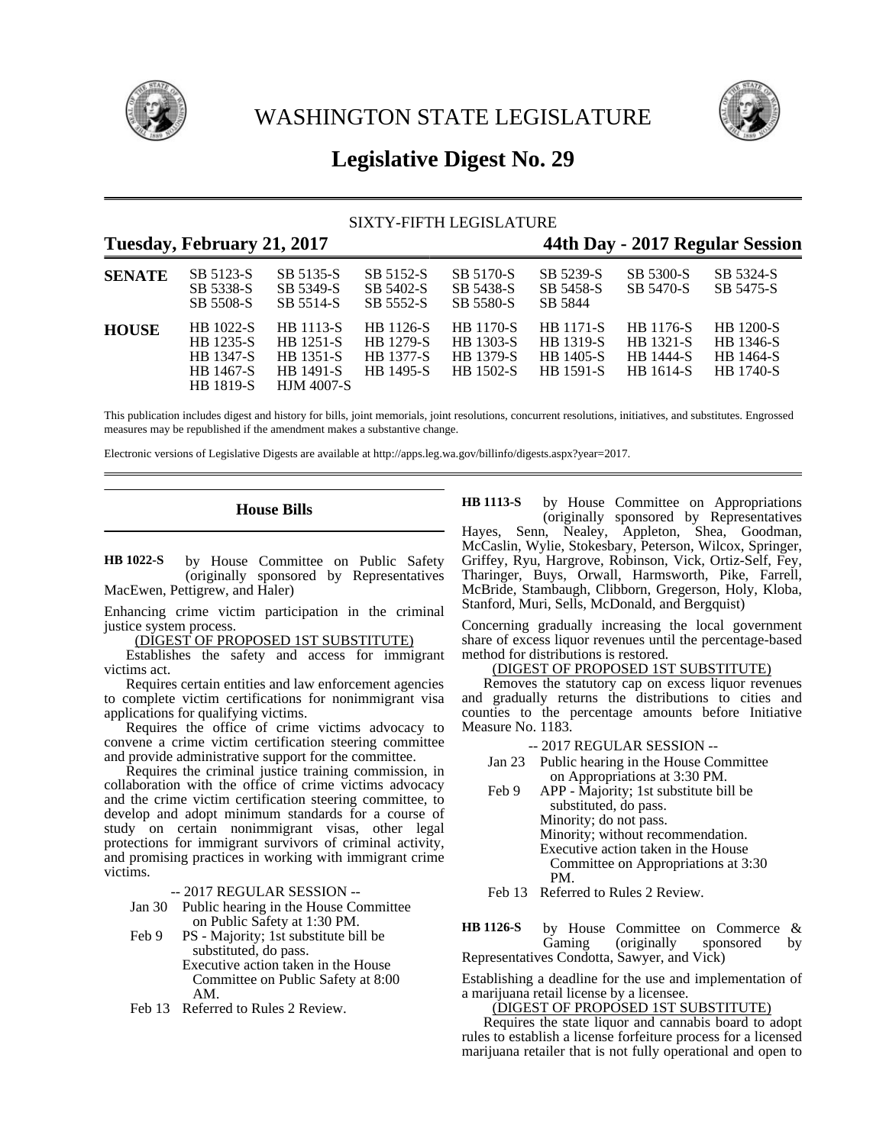

WASHINGTON STATE LEGISLATURE



# **Legislative Digest No. 29**

### SIXTY-FIFTH LEGISLATURE

|               | Tuesday, February 21, 2017                                           |                                                                                     |                                                                |                                                         |                                                                |                                                                | 44th Day - 2017 Regular Session                                |
|---------------|----------------------------------------------------------------------|-------------------------------------------------------------------------------------|----------------------------------------------------------------|---------------------------------------------------------|----------------------------------------------------------------|----------------------------------------------------------------|----------------------------------------------------------------|
| <b>SENATE</b> | SB 5123-S<br>SB 5338-S<br>SB 5508-S                                  | SB 5135-S<br>SB 5349-S<br>SB 5514-S                                                 | SB 5152-S<br>SB 5402-S<br>SB 5552-S                            | SB 5170-S<br>SB 5438-S<br>SB 5580-S                     | SB 5239-S<br>SB 5458-S<br>SB 5844                              | SB 5300-S<br>SB 5470-S                                         | SB 5324-S<br>SB 5475-S                                         |
| <b>HOUSE</b>  | HB 1022-S<br><b>HB</b> 1235-S<br>HB 1347-S<br>HB 1467-S<br>HB 1819-S | HB 1113-S<br><b>HB</b> 1251-S<br><b>HB</b> 1351-S<br>HB 1491-S<br><b>HJM 4007-S</b> | HB 1126-S<br><b>HB</b> 1279-S<br><b>HB</b> 1377-S<br>HB 1495-S | <b>HB</b> 1170-S<br>HB 1303-S<br>HB 1379-S<br>HB 1502-S | <b>HB</b> 1171-S<br><b>HB</b> 1319-S<br>HB 1405-S<br>HB 1591-S | HB 1176-S<br><b>HB</b> 1321-S<br><b>HB</b> 1444-S<br>HB 1614-S | <b>HB</b> 1200-S<br>HB 1346-S<br>HB 1464-S<br><b>HB</b> 1740-S |

This publication includes digest and history for bills, joint memorials, joint resolutions, concurrent resolutions, initiatives, and substitutes. Engrossed measures may be republished if the amendment makes a substantive change.

Electronic versions of Legislative Digests are available at http://apps.leg.wa.gov/billinfo/digests.aspx?year=2017.

### **House Bills**

by House Committee on Public Safety (originally sponsored by Representatives MacEwen, Pettigrew, and Haler) **HB 1022-S**

Enhancing crime victim participation in the criminal justice system process.

(DIGEST OF PROPOSED 1ST SUBSTITUTE)

Establishes the safety and access for immigrant victims act.

Requires certain entities and law enforcement agencies to complete victim certifications for nonimmigrant visa applications for qualifying victims.

Requires the office of crime victims advocacy to convene a crime victim certification steering committee and provide administrative support for the committee.

Requires the criminal justice training commission, in collaboration with the office of crime victims advocacy and the crime victim certification steering committee, to develop and adopt minimum standards for a course of study on certain nonimmigrant visas, other legal protections for immigrant survivors of criminal activity, and promising practices in working with immigrant crime victims.

-- 2017 REGULAR SESSION --

- Jan 30 Public hearing in the House Committee on Public Safety at 1:30 PM.
- Feb 9 PS Majority; 1st substitute bill be substituted, do pass. Executive action taken in the House Committee on Public Safety at 8:00
- Feb 13 Referred to Rules 2 Review.

AM.

by House Committee on Appropriations (originally sponsored by Representatives Hayes, Senn, Nealey, Appleton, Shea, Goodman, McCaslin, Wylie, Stokesbary, Peterson, Wilcox, Springer, Griffey, Ryu, Hargrove, Robinson, Vick, Ortiz-Self, Fey, Tharinger, Buys, Orwall, Harmsworth, Pike, Farrell, McBride, Stambaugh, Clibborn, Gregerson, Holy, Kloba, Stanford, Muri, Sells, McDonald, and Bergquist) **HB 1113-S**

Concerning gradually increasing the local government share of excess liquor revenues until the percentage-based method for distributions is restored.

## (DIGEST OF PROPOSED 1ST SUBSTITUTE)

Removes the statutory cap on excess liquor revenues and gradually returns the distributions to cities and counties to the percentage amounts before Initiative Measure No. 1183.

-- 2017 REGULAR SESSION --

- Jan 23 Public hearing in the House Committee on Appropriations at 3:30 PM.
- Feb 9 APP Majority; 1st substitute bill be substituted, do pass. Minority; do not pass. Minority; without recommendation. Executive action taken in the House Committee on Appropriations at 3:30 PM.

Feb 13 Referred to Rules 2 Review.

by House Committee on Commerce & Gaming (originally sponsored by Representatives Condotta, Sawyer, and Vick) **HB 1126-S**

Establishing a deadline for the use and implementation of a marijuana retail license by a licensee.

(DIGEST OF PROPOSED 1ST SUBSTITUTE)

Requires the state liquor and cannabis board to adopt rules to establish a license forfeiture process for a licensed marijuana retailer that is not fully operational and open to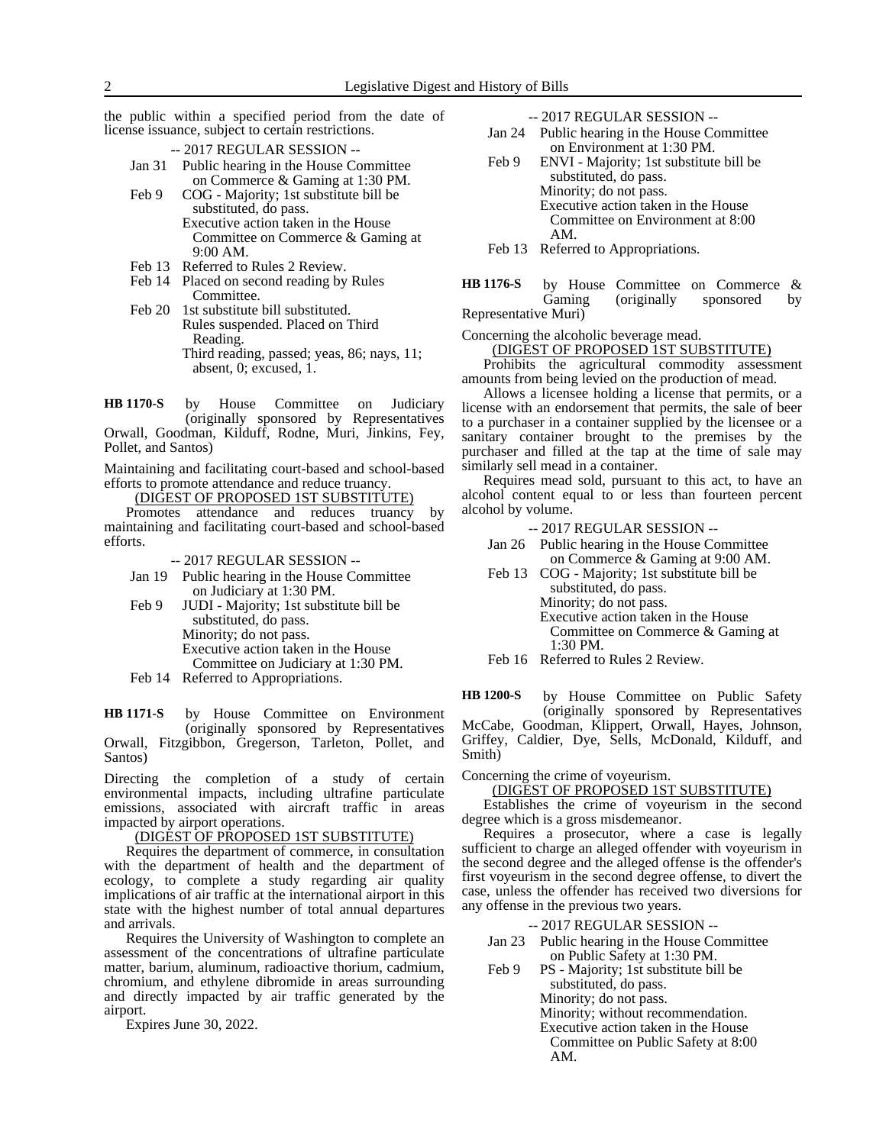the public within a specified period from the date of license issuance, subject to certain restrictions.

-- 2017 REGULAR SESSION --

- Jan 31 Public hearing in the House Committee on Commerce & Gaming at 1:30 PM.
- Feb 9 COG Majority; 1st substitute bill be substituted, do pass. Executive action taken in the House Committee on Commerce & Gaming at 9:00 AM.
- Feb 13 Referred to Rules 2 Review.
- Feb 14 Placed on second reading by Rules Committee.
- Feb 20 1st substitute bill substituted. Rules suspended. Placed on Third Reading. Third reading, passed; yeas, 86; nays, 11; absent, 0; excused, 1.

by House Committee on Judiciary (originally sponsored by Representatives Orwall, Goodman, Kilduff, Rodne, Muri, Jinkins, Fey, Pollet, and Santos) **HB 1170-S**

Maintaining and facilitating court-based and school-based efforts to promote attendance and reduce truancy.

(DIGEST OF PROPOSED 1ST SUBSTITUTE)

Promotes attendance and reduces truancy by maintaining and facilitating court-based and school-based efforts.

- -- 2017 REGULAR SESSION --
- Jan 19 Public hearing in the House Committee on Judiciary at 1:30 PM.
- Feb 9 JUDI Majority; 1st substitute bill be substituted, do pass.

Minority; do not pass. Executive action taken in the House Committee on Judiciary at 1:30 PM.

Feb 14 Referred to Appropriations.

by House Committee on Environment (originally sponsored by Representatives Orwall, Fitzgibbon, Gregerson, Tarleton, Pollet, and Santos) **HB 1171-S**

Directing the completion of a study of certain environmental impacts, including ultrafine particulate emissions, associated with aircraft traffic in areas impacted by airport operations.

#### (DIGEST OF PROPOSED 1ST SUBSTITUTE)

Requires the department of commerce, in consultation with the department of health and the department of ecology, to complete a study regarding air quality implications of air traffic at the international airport in this state with the highest number of total annual departures and arrivals.

Requires the University of Washington to complete an assessment of the concentrations of ultrafine particulate matter, barium, aluminum, radioactive thorium, cadmium, chromium, and ethylene dibromide in areas surrounding and directly impacted by air traffic generated by the airport.

Expires June 30, 2022.

-- 2017 REGULAR SESSION --

- Jan 24 Public hearing in the House Committee on Environment at 1:30 PM.
- Feb 9 ENVI Majority; 1st substitute bill be substituted, do pass. Minority; do not pass. Executive action taken in the House Committee on Environment at 8:00 AM.

Feb 13 Referred to Appropriations.

by House Committee on Commerce & Gaming (originally sponsored by Representative Muri) **HB 1176-S**

Concerning the alcoholic beverage mead.

(DIGEST OF PROPOSED 1ST SUBSTITUTE)

Prohibits the agricultural commodity assessment amounts from being levied on the production of mead.

Allows a licensee holding a license that permits, or a license with an endorsement that permits, the sale of beer to a purchaser in a container supplied by the licensee or a sanitary container brought to the premises by the purchaser and filled at the tap at the time of sale may similarly sell mead in a container.

Requires mead sold, pursuant to this act, to have an alcohol content equal to or less than fourteen percent alcohol by volume.

-- 2017 REGULAR SESSION --

- Jan 26 Public hearing in the House Committee on Commerce & Gaming at 9:00 AM.
- Feb 13 COG Majority; 1st substitute bill be substituted, do pass. Minority; do not pass. Executive action taken in the House Committee on Commerce & Gaming at 1:30 PM.

Feb 16 Referred to Rules 2 Review.

by House Committee on Public Safety (originally sponsored by Representatives McCabe, Goodman, Klippert, Orwall, Hayes, Johnson, Griffey, Caldier, Dye, Sells, McDonald, Kilduff, and Smith) **HB 1200-S**

Concerning the crime of voyeurism.

(DIGEST OF PROPOSED 1ST SUBSTITUTE)

Establishes the crime of voyeurism in the second degree which is a gross misdemeanor.

Requires a prosecutor, where a case is legally sufficient to charge an alleged offender with voyeurism in the second degree and the alleged offense is the offender's first voyeurism in the second degree offense, to divert the case, unless the offender has received two diversions for any offense in the previous two years.

-- 2017 REGULAR SESSION --

- Jan 23 Public hearing in the House Committee on Public Safety at 1:30 PM.
- Feb 9 PS Majority; 1st substitute bill be substituted, do pass. Minority; do not pass.

Minority; without recommendation.

Executive action taken in the House

Committee on Public Safety at 8:00 AM.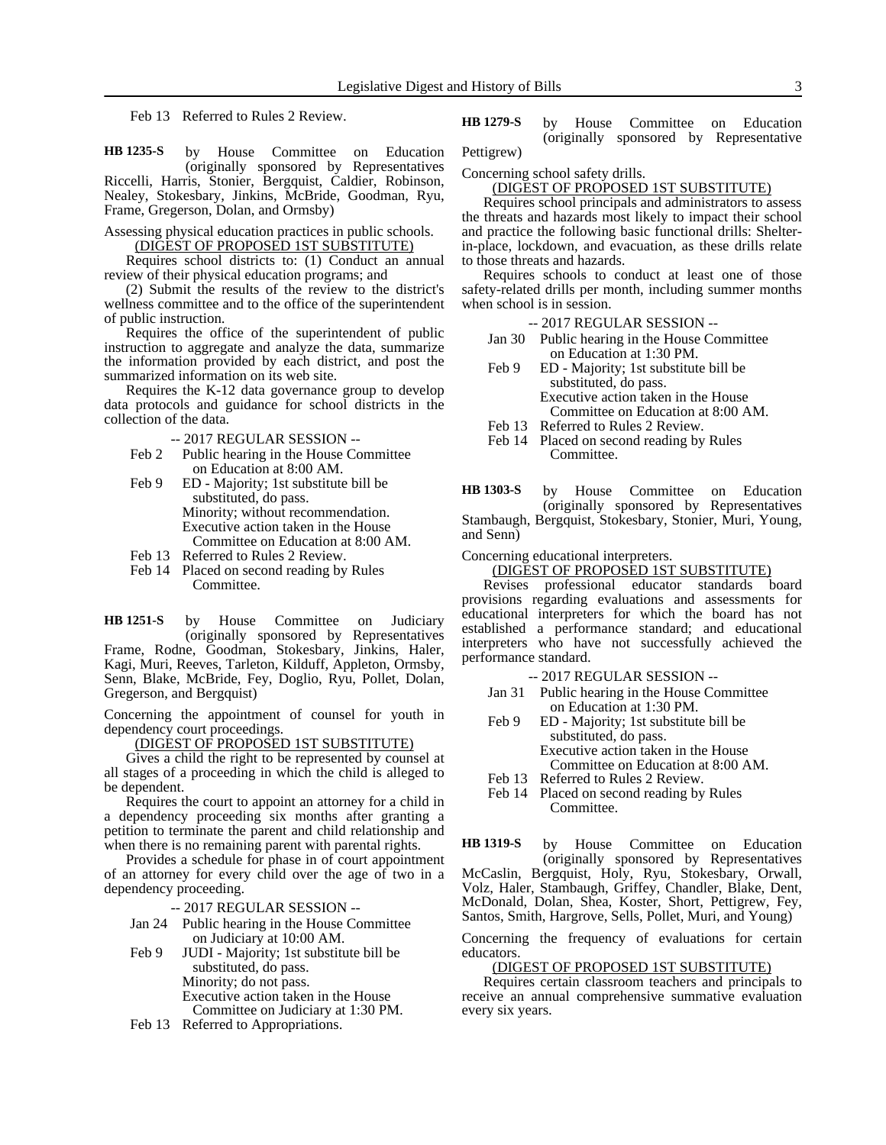Feb 13 Referred to Rules 2 Review.

by House Committee on Education (originally sponsored by Representatives Riccelli, Harris, Stonier, Bergquist, Caldier, Robinson, Nealey, Stokesbary, Jinkins, McBride, Goodman, Ryu, Frame, Gregerson, Dolan, and Ormsby) **HB 1235-S**

Assessing physical education practices in public schools. (DIGEST OF PROPOSED 1ST SUBSTITUTE)

Requires school districts to: (1) Conduct an annual review of their physical education programs; and

(2) Submit the results of the review to the district's wellness committee and to the office of the superintendent of public instruction.

Requires the office of the superintendent of public instruction to aggregate and analyze the data, summarize the information provided by each district, and post the summarized information on its web site.

Requires the K-12 data governance group to develop data protocols and guidance for school districts in the collection of the data.

-- 2017 REGULAR SESSION --

- Feb 2 Public hearing in the House Committee on Education at 8:00 AM.
- Feb 9 ED Majority; 1st substitute bill be substituted, do pass. Minority; without recommendation. Executive action taken in the House Committee on Education at 8:00 AM.
- Feb 13 Referred to Rules 2 Review.
- Feb 14 Placed on second reading by Rules Committee.

by House Committee on Judiciary (originally sponsored by Representatives Frame, Rodne, Goodman, Stokesbary, Jinkins, Haler, Kagi, Muri, Reeves, Tarleton, Kilduff, Appleton, Ormsby, Senn, Blake, McBride, Fey, Doglio, Ryu, Pollet, Dolan, Gregerson, and Bergquist) **HB 1251-S**

Concerning the appointment of counsel for youth in dependency court proceedings.

(DIGEST OF PROPOSED 1ST SUBSTITUTE)

Gives a child the right to be represented by counsel at all stages of a proceeding in which the child is alleged to be dependent.

Requires the court to appoint an attorney for a child in a dependency proceeding six months after granting a petition to terminate the parent and child relationship and when there is no remaining parent with parental rights.

Provides a schedule for phase in of court appointment of an attorney for every child over the age of two in a dependency proceeding.

-- 2017 REGULAR SESSION --

- Jan 24 Public hearing in the House Committee on Judiciary at 10:00 AM.
- Feb 9 JUDI Majority; 1st substitute bill be substituted, do pass. Minority; do not pass. Executive action taken in the House Committee on Judiciary at 1:30 PM.
- Feb 13 Referred to Appropriations.

by House Committee on Education (originally sponsored by Representative Pettigrew) **HB 1279-S**

Concerning school safety drills.

(DIGEST OF PROPOSED 1ST SUBSTITUTE)

Requires school principals and administrators to assess the threats and hazards most likely to impact their school and practice the following basic functional drills: Shelterin-place, lockdown, and evacuation, as these drills relate to those threats and hazards.

Requires schools to conduct at least one of those safety-related drills per month, including summer months when school is in session.

- -- 2017 REGULAR SESSION --
- Jan 30 Public hearing in the House Committee on Education at 1:30 PM.
- Feb 9 ED Majority; 1st substitute bill be substituted, do pass. Executive action taken in the House Committee on Education at 8:00 AM.
- Feb 13 Referred to Rules 2 Review.
- Feb 14 Placed on second reading by Rules Committee.

by House Committee on Education (originally sponsored by Representatives Stambaugh, Bergquist, Stokesbary, Stonier, Muri, Young, and Senn) **HB 1303-S**

Concerning educational interpreters.

(DIGEST OF PROPOSED 1ST SUBSTITUTE)

Revises professional educator standards board provisions regarding evaluations and assessments for educational interpreters for which the board has not established a performance standard; and educational interpreters who have not successfully achieved the performance standard.

-- 2017 REGULAR SESSION --

- Jan 31 Public hearing in the House Committee on Education at 1:30 PM.
- Feb 9 ED Majority; 1st substitute bill be substituted, do pass. Executive action taken in the House Committee on Education at 8:00 AM.
- Feb 13 Referred to Rules 2 Review.
- Feb 14 Placed on second reading by Rules Committee.

by House Committee on Education **HB 1319-S**

(originally sponsored by Representatives McCaslin, Bergquist, Holy, Ryu, Stokesbary, Orwall, Volz, Haler, Stambaugh, Griffey, Chandler, Blake, Dent, McDonald, Dolan, Shea, Koster, Short, Pettigrew, Fey, Santos, Smith, Hargrove, Sells, Pollet, Muri, and Young)

Concerning the frequency of evaluations for certain educators.

### (DIGEST OF PROPOSED 1ST SUBSTITUTE)

Requires certain classroom teachers and principals to receive an annual comprehensive summative evaluation every six years.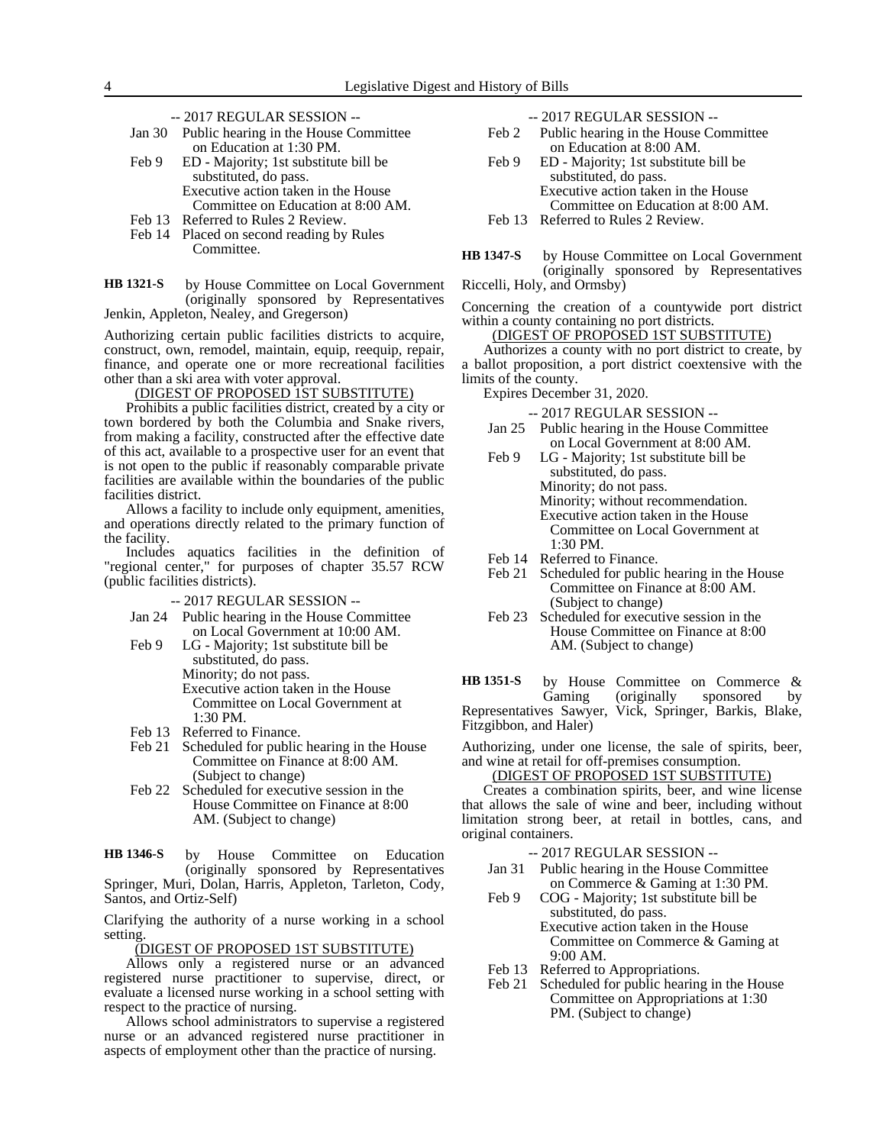-- 2017 REGULAR SESSION --

| Jan 30 Public hearing in the House Committee |  |  |  |  |  |
|----------------------------------------------|--|--|--|--|--|
| on Education at 1:30 PM.                     |  |  |  |  |  |
|                                              |  |  |  |  |  |

- Feb 9 ED Majority; 1st substitute bill be substituted, do pass. Executive action taken in the House Committee on Education at 8:00 AM.
- Feb 13 Referred to Rules 2 Review.
- Feb 14 Placed on second reading by Rules Committee.

by House Committee on Local Government (originally sponsored by Representatives Jenkin, Appleton, Nealey, and Gregerson) **HB 1321-S**

Authorizing certain public facilities districts to acquire, construct, own, remodel, maintain, equip, reequip, repair, finance, and operate one or more recreational facilities other than a ski area with voter approval.

(DIGEST OF PROPOSED 1ST SUBSTITUTE)

Prohibits a public facilities district, created by a city or town bordered by both the Columbia and Snake rivers, from making a facility, constructed after the effective date of this act, available to a prospective user for an event that is not open to the public if reasonably comparable private facilities are available within the boundaries of the public facilities district.

Allows a facility to include only equipment, amenities, and operations directly related to the primary function of the facility.

Includes aquatics facilities in the definition of "regional center," for purposes of chapter 35.57 RCW (public facilities districts).

-- 2017 REGULAR SESSION --

- Jan 24 Public hearing in the House Committee on Local Government at 10:00 AM.
- Feb 9 LG Majority; 1st substitute bill be substituted, do pass. Minority; do not pass. Executive action taken in the House Committee on Local Government at 1:30 PM.
- Feb 13 Referred to Finance.
- Feb 21 Scheduled for public hearing in the House Committee on Finance at 8:00 AM. (Subject to change)
- Feb 22 Scheduled for executive session in the House Committee on Finance at 8:00 AM. (Subject to change)

by House Committee on Education (originally sponsored by Representatives Springer, Muri, Dolan, Harris, Appleton, Tarleton, Cody, Santos, and Ortiz-Self) **HB 1346-S**

Clarifying the authority of a nurse working in a school setting.

(DIGEST OF PROPOSED 1ST SUBSTITUTE)

Allows only a registered nurse or an advanced registered nurse practitioner to supervise, direct, or evaluate a licensed nurse working in a school setting with respect to the practice of nursing.

Allows school administrators to supervise a registered nurse or an advanced registered nurse practitioner in aspects of employment other than the practice of nursing.

|  | $-2017$ REGULAR SESSION $-$ |
|--|-----------------------------|
|--|-----------------------------|

- Feb 2 Public hearing in the House Committee on Education at 8:00 AM.
- Feb 9 ED Majority; 1st substitute bill be substituted, do pass. Executive action taken in the House Committee on Education at 8:00 AM. Feb 13 Referred to Rules 2 Review.

by House Committee on Local Government (originally sponsored by Representatives **HB 1347-S**

Riccelli, Holy, and Ormsby)

Concerning the creation of a countywide port district within a county containing no port districts.

### (DIGEST OF PROPOSED 1ST SUBSTITUTE)

Authorizes a county with no port district to create, by a ballot proposition, a port district coextensive with the limits of the county.

Expires December 31, 2020.

-- 2017 REGULAR SESSION --

- Jan 25 Public hearing in the House Committee on Local Government at 8:00 AM.
- Feb 9 LG Majority; 1st substitute bill be substituted, do pass. Minority; do not pass. Minority; without recommendation. Executive action taken in the House Committee on Local Government at 1:30 PM.
- 
- Feb 14 Referred to Finance.<br>Feb 21 Scheduled for public Scheduled for public hearing in the House Committee on Finance at 8:00 AM. (Subject to change)
- Feb 23 Scheduled for executive session in the House Committee on Finance at 8:00 AM. (Subject to change)

by House Committee on Commerce & Gaming (originally sponsored by Representatives Sawyer, Vick, Springer, Barkis, Blake, Fitzgibbon, and Haler) **HB 1351-S**

Authorizing, under one license, the sale of spirits, beer, and wine at retail for off-premises consumption.

### (DIGEST OF PROPOSED 1ST SUBSTITUTE)

Creates a combination spirits, beer, and wine license that allows the sale of wine and beer, including without limitation strong beer, at retail in bottles, cans, and original containers.

- -- 2017 REGULAR SESSION --
- Jan 31 Public hearing in the House Committee on Commerce & Gaming at 1:30 PM.
- Feb 9 COG Majority; 1st substitute bill be substituted, do pass. Executive action taken in the House Committee on Commerce & Gaming at 9:00 AM.
- Feb 13 Referred to Appropriations.<br>Feb 21 Scheduled for public hearing
- Scheduled for public hearing in the House Committee on Appropriations at 1:30 PM. (Subject to change)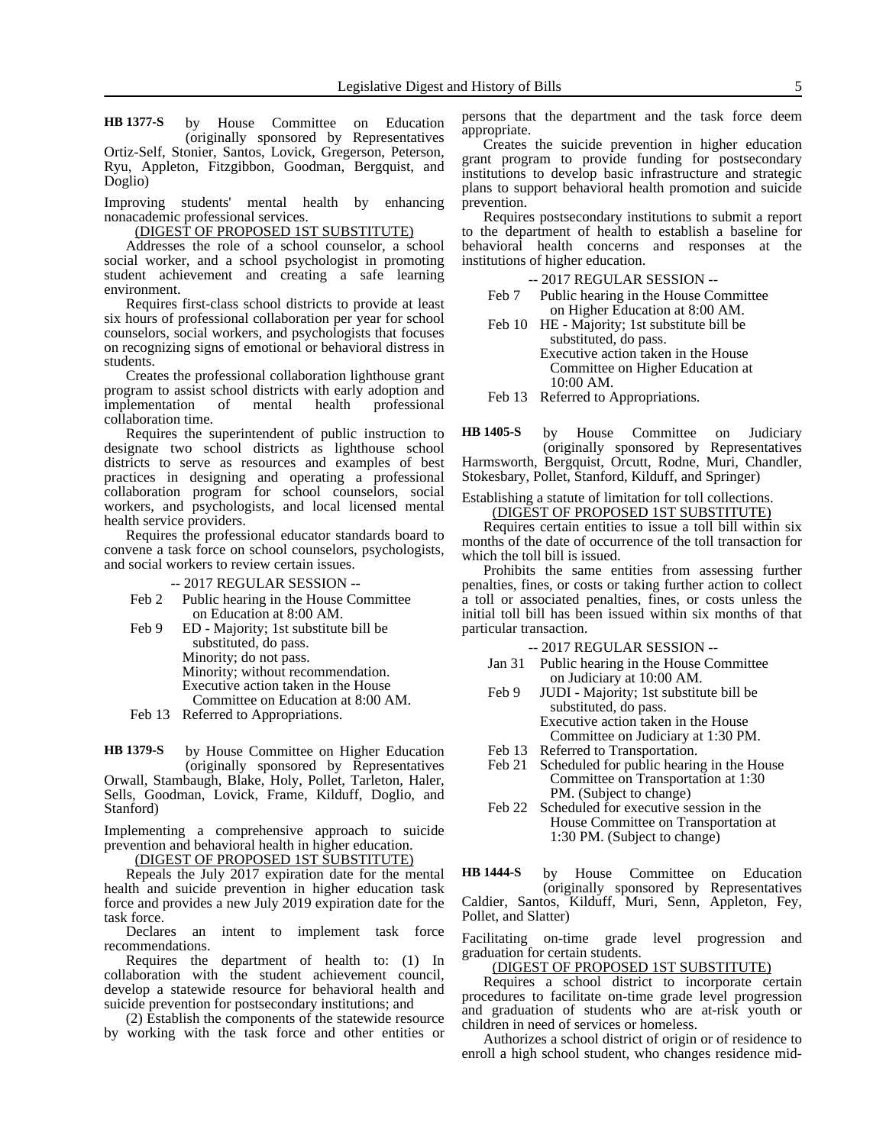by House Committee on Education (originally sponsored by Representatives Ortiz-Self, Stonier, Santos, Lovick, Gregerson, Peterson, Ryu, Appleton, Fitzgibbon, Goodman, Bergquist, and Doglio) **HB 1377-S**

Improving students' mental health by enhancing nonacademic professional services.

(DIGEST OF PROPOSED 1ST SUBSTITUTE)

Addresses the role of a school counselor, a school social worker, and a school psychologist in promoting student achievement and creating a safe learning environment.

Requires first-class school districts to provide at least six hours of professional collaboration per year for school counselors, social workers, and psychologists that focuses on recognizing signs of emotional or behavioral distress in students.

Creates the professional collaboration lighthouse grant program to assist school districts with early adoption and<br>implementation of mental health professional implementation of collaboration time.

Requires the superintendent of public instruction to designate two school districts as lighthouse school districts to serve as resources and examples of best practices in designing and operating a professional collaboration program for school counselors, social workers, and psychologists, and local licensed mental health service providers.

Requires the professional educator standards board to convene a task force on school counselors, psychologists, and social workers to review certain issues.

-- 2017 REGULAR SESSION --

- Feb 2 Public hearing in the House Committee on Education at 8:00 AM.
- Feb 9 ED Majority; 1st substitute bill be substituted, do pass. Minority; do not pass. Minority; without recommendation. Executive action taken in the House Committee on Education at 8:00 AM.
- Feb 13 Referred to Appropriations.

by House Committee on Higher Education (originally sponsored by Representatives Orwall, Stambaugh, Blake, Holy, Pollet, Tarleton, Haler, Sells, Goodman, Lovick, Frame, Kilduff, Doglio, and Stanford) **HB 1379-S**

Implementing a comprehensive approach to suicide prevention and behavioral health in higher education.

(DIGEST OF PROPOSED 1ST SUBSTITUTE)

Repeals the July 2017 expiration date for the mental health and suicide prevention in higher education task force and provides a new July 2019 expiration date for the task force.

Declares an intent to implement task force recommendations.

Requires the department of health to: (1) In collaboration with the student achievement council, develop a statewide resource for behavioral health and suicide prevention for postsecondary institutions; and

(2) Establish the components of the statewide resource by working with the task force and other entities or persons that the department and the task force deem appropriate.

Creates the suicide prevention in higher education grant program to provide funding for postsecondary institutions to develop basic infrastructure and strategic plans to support behavioral health promotion and suicide prevention.

Requires postsecondary institutions to submit a report to the department of health to establish a baseline for behavioral health concerns and responses at the institutions of higher education.

-- 2017 REGULAR SESSION --

Feb 7 Public hearing in the House Committee on Higher Education at 8:00 AM.

Feb 10 HE - Majority; 1st substitute bill be substituted, do pass. Executive action taken in the House Committee on Higher Education at 10:00 AM.

Feb 13 Referred to Appropriations.

by House Committee on Judiciary (originally sponsored by Representatives Harmsworth, Bergquist, Orcutt, Rodne, Muri, Chandler, Stokesbary, Pollet, Stanford, Kilduff, and Springer) **HB 1405-S**

Establishing a statute of limitation for toll collections.

(DIGEST OF PROPOSED 1ST SUBSTITUTE)

Requires certain entities to issue a toll bill within six months of the date of occurrence of the toll transaction for which the toll bill is issued.

Prohibits the same entities from assessing further penalties, fines, or costs or taking further action to collect a toll or associated penalties, fines, or costs unless the initial toll bill has been issued within six months of that particular transaction.

-- 2017 REGULAR SESSION --

- Jan 31 Public hearing in the House Committee on Judiciary at 10:00 AM.
- Feb 9 JUDI Majority; 1st substitute bill be substituted, do pass. Executive action taken in the House Committee on Judiciary at 1:30 PM.
- Feb 13 Referred to Transportation.
- Feb 21 Scheduled for public hearing in the House Committee on Transportation at 1:30 PM. (Subject to change)
- Feb 22 Scheduled for executive session in the House Committee on Transportation at 1:30 PM. (Subject to change)

by House Committee on Education (originally sponsored by Representatives Caldier, Santos, Kilduff, Muri, Senn, Appleton, Fey, Pollet, and Slatter) **HB 1444-S**

Facilitating on-time grade level progression and graduation for certain students.

### (DIGEST OF PROPOSED 1ST SUBSTITUTE)

Requires a school district to incorporate certain procedures to facilitate on-time grade level progression and graduation of students who are at-risk youth or children in need of services or homeless.

Authorizes a school district of origin or of residence to enroll a high school student, who changes residence mid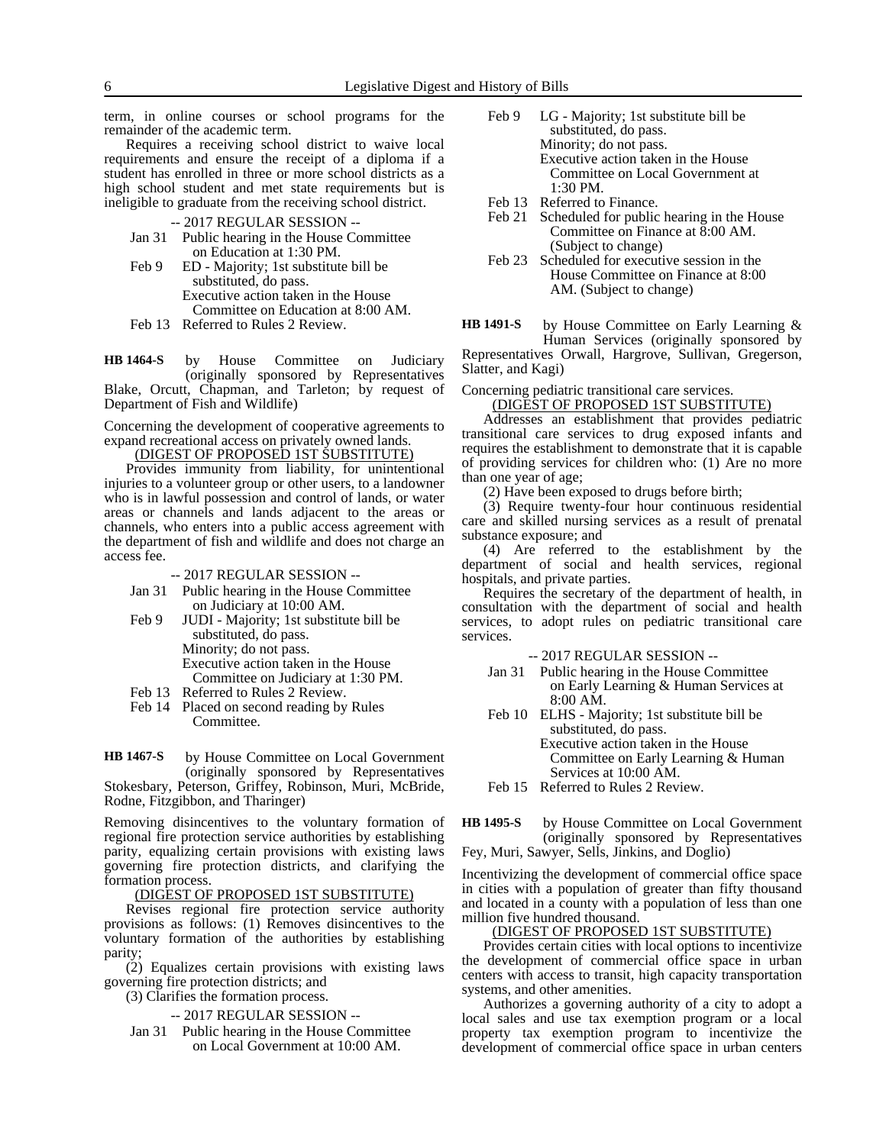term, in online courses or school programs for the remainder of the academic term.

Requires a receiving school district to waive local requirements and ensure the receipt of a diploma if a student has enrolled in three or more school districts as a high school student and met state requirements but is ineligible to graduate from the receiving school district.

-- 2017 REGULAR SESSION --

- Jan 31 Public hearing in the House Committee on Education at 1:30 PM.
- Feb 9 ED Majority; 1st substitute bill be substituted, do pass. Executive action taken in the House Committee on Education at 8:00 AM.
- Feb 13 Referred to Rules 2 Review.

by House Committee on Judiciary (originally sponsored by Representatives Blake, Orcutt, Chapman, and Tarleton; by request of Department of Fish and Wildlife) **HB 1464-S**

Concerning the development of cooperative agreements to expand recreational access on privately owned lands.

(DIGEST OF PROPOSED 1ST SUBSTITUTE)

Provides immunity from liability, for unintentional injuries to a volunteer group or other users, to a landowner who is in lawful possession and control of lands, or water areas or channels and lands adjacent to the areas or channels, who enters into a public access agreement with the department of fish and wildlife and does not charge an access fee.

-- 2017 REGULAR SESSION --

- Jan 31 Public hearing in the House Committee on Judiciary at 10:00 AM.
- Feb 9 JUDI Majority; 1st substitute bill be substituted, do pass. Minority; do not pass. Executive action taken in the House Committee on Judiciary at 1:30 PM.
- Feb 13 Referred to Rules 2 Review.
- Feb 14 Placed on second reading by Rules Committee.

by House Committee on Local Government (originally sponsored by Representatives Stokesbary, Peterson, Griffey, Robinson, Muri, McBride, Rodne, Fitzgibbon, and Tharinger) **HB 1467-S**

Removing disincentives to the voluntary formation of regional fire protection service authorities by establishing parity, equalizing certain provisions with existing laws governing fire protection districts, and clarifying the formation process.

(DIGEST OF PROPOSED 1ST SUBSTITUTE)

Revises regional fire protection service authority provisions as follows: (1) Removes disincentives to the voluntary formation of the authorities by establishing parity;

(2) Equalizes certain provisions with existing laws governing fire protection districts; and

(3) Clarifies the formation process.

-- 2017 REGULAR SESSION --

Jan 31 Public hearing in the House Committee on Local Government at 10:00 AM.

- Feb 9 LG Majority; 1st substitute bill be substituted, do pass. Minority; do not pass. Executive action taken in the House Committee on Local Government at  $1.30$  PM.
- Feb 13 Referred to Finance.
- Feb 21 Scheduled for public hearing in the House Committee on Finance at 8:00 AM. (Subject to change)
- Feb 23 Scheduled for executive session in the House Committee on Finance at 8:00 AM. (Subject to change)

by House Committee on Early Learning & Human Services (originally sponsored by Representatives Orwall, Hargrove, Sullivan, Gregerson, **HB 1491-S**

Slatter, and Kagi)

Concerning pediatric transitional care services.

(DIGEST OF PROPOSED 1ST SUBSTITUTE) Addresses an establishment that provides pediatric transitional care services to drug exposed infants and requires the establishment to demonstrate that it is capable of providing services for children who: (1) Are no more than one year of age;

(2) Have been exposed to drugs before birth;

(3) Require twenty-four hour continuous residential care and skilled nursing services as a result of prenatal substance exposure; and

(4) Are referred to the establishment by the department of social and health services, regional hospitals, and private parties.

Requires the secretary of the department of health, in consultation with the department of social and health services, to adopt rules on pediatric transitional care services.

-- 2017 REGULAR SESSION --

- Jan 31 Public hearing in the House Committee on Early Learning & Human Services at 8:00 AM.
- Feb 10 ELHS Majority; 1st substitute bill be substituted, do pass. Executive action taken in the House Committee on Early Learning & Human Services at 10:00 AM.
- Feb 15 Referred to Rules 2 Review.

by House Committee on Local Government (originally sponsored by Representatives Fey, Muri, Sawyer, Sells, Jinkins, and Doglio) **HB 1495-S**

Incentivizing the development of commercial office space in cities with a population of greater than fifty thousand and located in a county with a population of less than one million five hundred thousand.

#### (DIGEST OF PROPOSED 1ST SUBSTITUTE)

Provides certain cities with local options to incentivize the development of commercial office space in urban centers with access to transit, high capacity transportation systems, and other amenities.

Authorizes a governing authority of a city to adopt a local sales and use tax exemption program or a local property tax exemption program to incentivize the development of commercial office space in urban centers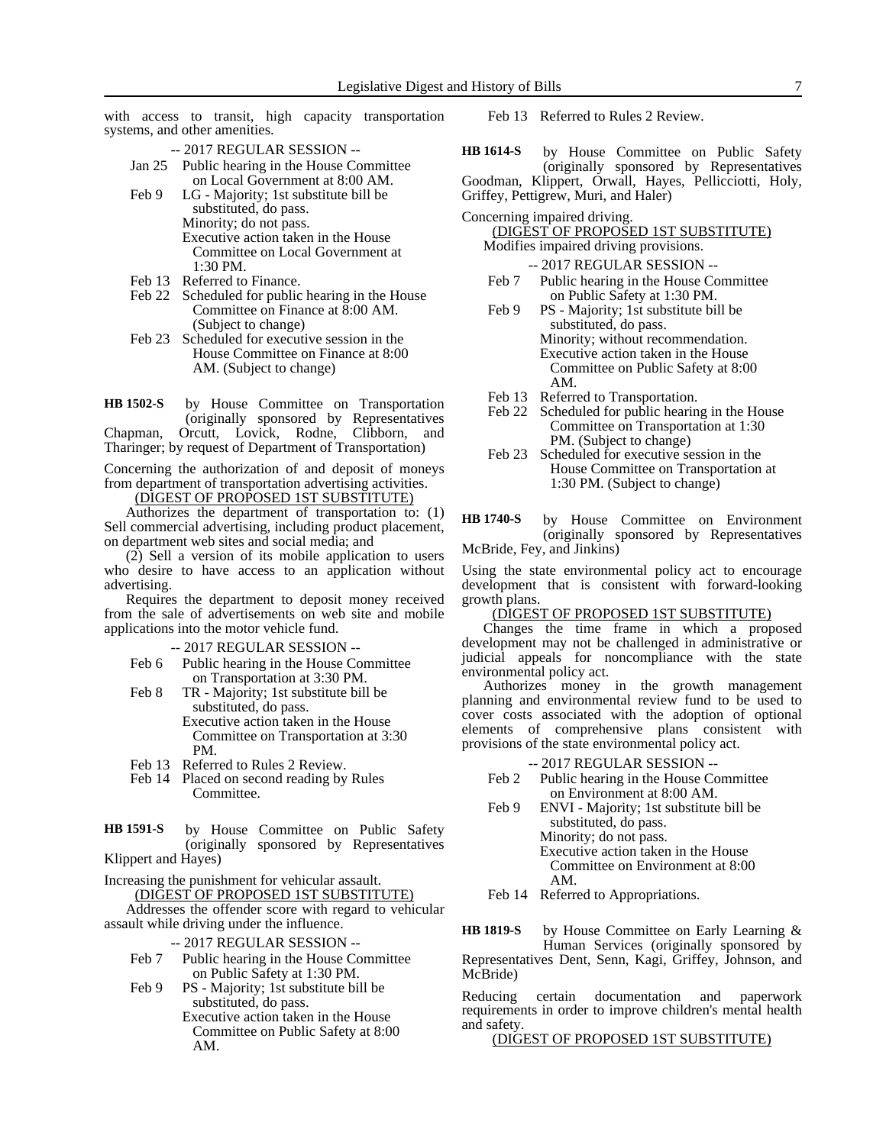with access to transit, high capacity transportation systems, and other amenities.

- -- 2017 REGULAR SESSION --
- Jan 25 Public hearing in the House Committee on Local Government at 8:00 AM.
- Feb 9 LG Majority; 1st substitute bill be substituted, do pass. Minority; do not pass. Executive action taken in the House Committee on Local Government at 1:30 PM.
- Feb 13 Referred to Finance.
- Feb 22 Scheduled for public hearing in the House Committee on Finance at 8:00 AM. (Subject to change)
- Feb 23 Scheduled for executive session in the House Committee on Finance at 8:00 AM. (Subject to change)

by House Committee on Transportation (originally sponsored by Representatives Chapman, Orcutt, Lovick, Rodne, Clibborn, and Tharinger; by request of Department of Transportation) **HB 1502-S**

Concerning the authorization of and deposit of moneys from department of transportation advertising activities.

(DIGEST OF PROPOSED 1ST SUBSTITUTE)

Authorizes the department of transportation to: (1) Sell commercial advertising, including product placement, on department web sites and social media; and

(2) Sell a version of its mobile application to users who desire to have access to an application without advertising.

Requires the department to deposit money received from the sale of advertisements on web site and mobile applications into the motor vehicle fund.

-- 2017 REGULAR SESSION --

- Feb 6 Public hearing in the House Committee on Transportation at 3:30 PM.
- Feb 8 TR Majority; 1st substitute bill be substituted, do pass. Executive action taken in the House Committee on Transportation at 3:30 PM.
- Feb 13 Referred to Rules 2 Review.
- Feb 14 Placed on second reading by Rules Committee.
- by House Committee on Public Safety (originally sponsored by Representatives Klippert and Hayes) **HB 1591-S**

Increasing the punishment for vehicular assault. (DIGEST OF PROPOSED 1ST SUBSTITUTE)

Addresses the offender score with regard to vehicular assault while driving under the influence.

-- 2017 REGULAR SESSION --

- Feb 7 Public hearing in the House Committee on Public Safety at 1:30 PM.
- Feb 9 PS Majority; 1st substitute bill be substituted, do pass. Executive action taken in the House Committee on Public Safety at 8:00 AM.

Feb 13 Referred to Rules 2 Review.

by House Committee on Public Safety (originally sponsored by Representatives Goodman, Klippert, Orwall, Hayes, Pellicciotti, Holy, Griffey, Pettigrew, Muri, and Haler) **HB 1614-S**

Concerning impaired driving.

(DIGEST OF PROPOSED 1ST SUBSTITUTE) Modifies impaired driving provisions.

-- 2017 REGULAR SESSION --

- Feb 7 Public hearing in the House Committee on Public Safety at 1:30 PM.
- Feb 9 PS Majority; 1st substitute bill be substituted, do pass. Minority; without recommendation. Executive action taken in the House Committee on Public Safety at 8:00 AM.
- Feb 13 Referred to Transportation.
- Feb 22 Scheduled for public hearing in the House Committee on Transportation at 1:30 PM. (Subject to change)
- Feb 23 Scheduled for executive session in the House Committee on Transportation at 1:30 PM. (Subject to change)

by House Committee on Environment (originally sponsored by Representatives McBride, Fey, and Jinkins) **HB 1740-S**

Using the state environmental policy act to encourage development that is consistent with forward-looking growth plans.

### (DIGEST OF PROPOSED 1ST SUBSTITUTE)

Changes the time frame in which a proposed development may not be challenged in administrative or judicial appeals for noncompliance with the state environmental policy act.

Authorizes money in the growth management planning and environmental review fund to be used to cover costs associated with the adoption of optional elements of comprehensive plans consistent with provisions of the state environmental policy act.

-- 2017 REGULAR SESSION --

- Feb 2 Public hearing in the House Committee on Environment at 8:00 AM.
- Feb 9 ENVI Majority; 1st substitute bill be substituted, do pass. Minority; do not pass. Executive action taken in the House Committee on Environment at 8:00 AM.

Feb 14 Referred to Appropriations.

by House Committee on Early Learning & Human Services (originally sponsored by Representatives Dent, Senn, Kagi, Griffey, Johnson, and McBride) **HB 1819-S**

Reducing certain documentation and paperwork requirements in order to improve children's mental health and safety.

(DIGEST OF PROPOSED 1ST SUBSTITUTE)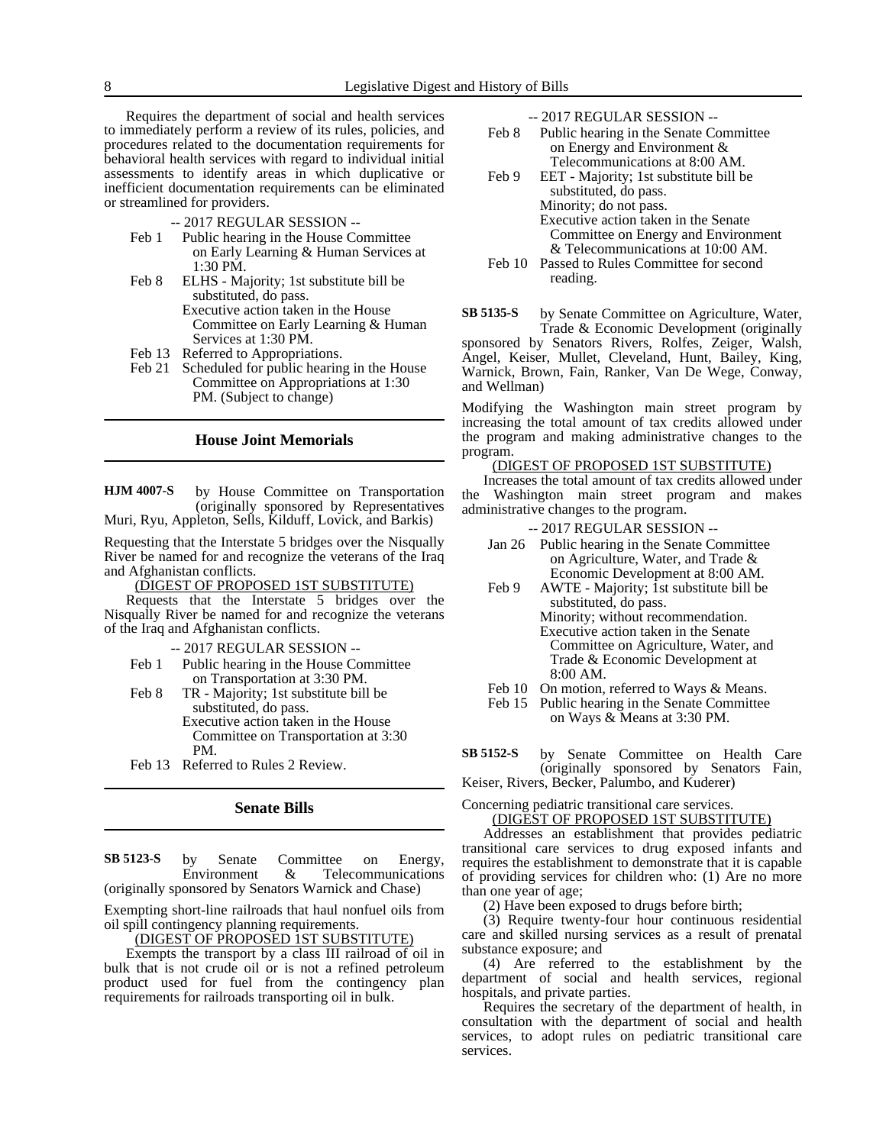Requires the department of social and health services to immediately perform a review of its rules, policies, and procedures related to the documentation requirements for behavioral health services with regard to individual initial assessments to identify areas in which duplicative or inefficient documentation requirements can be eliminated or streamlined for providers.

-- 2017 REGULAR SESSION --

- Feb 1 Public hearing in the House Committee on Early Learning & Human Services at 1:30 PM.
- Feb 8 ELHS Majority; 1st substitute bill be substituted, do pass. Executive action taken in the House Committee on Early Learning & Human Services at 1:30 PM.
- Feb 13 Referred to Appropriations.
- Feb 21 Scheduled for public hearing in the House Committee on Appropriations at 1:30 PM. (Subject to change)

#### **House Joint Memorials**

by House Committee on Transportation (originally sponsored by Representatives Muri, Ryu, Appleton, Sells, Kilduff, Lovick, and Barkis) **HJM 4007-S**

Requesting that the Interstate 5 bridges over the Nisqually River be named for and recognize the veterans of the Iraq and Afghanistan conflicts.

(DIGEST OF PROPOSED 1ST SUBSTITUTE)

Requests that the Interstate 5 bridges over the Nisqually River be named for and recognize the veterans of the Iraq and Afghanistan conflicts.

-- 2017 REGULAR SESSION --

- Feb 1 Public hearing in the House Committee on Transportation at 3:30 PM.
- Feb 8 TR Majority; 1st substitute bill be substituted, do pass. Executive action taken in the House Committee on Transportation at 3:30 PM.
- Feb 13 Referred to Rules 2 Review.

### **Senate Bills**

by Senate Committee on Energy, Environment & Telecommunications (originally sponsored by Senators Warnick and Chase) **SB 5123-S**

Exempting short-line railroads that haul nonfuel oils from oil spill contingency planning requirements.

#### <u>(DIGEST OF PROPOSED IST SUBSTITUTE)</u>

Exempts the transport by a class III railroad of oil in bulk that is not crude oil or is not a refined petroleum product used for fuel from the contingency plan requirements for railroads transporting oil in bulk.

-- 2017 REGULAR SESSION --

- Feb 8 Public hearing in the Senate Committee on Energy and Environment & Telecommunications at 8:00 AM.
- Feb 9 EET Majority; 1st substitute bill be substituted, do pass. Minority; do not pass. Executive action taken in the Senate Committee on Energy and Environment & Telecommunications at 10:00 AM. Feb 10 Passed to Rules Committee for second
- reading.
- by Senate Committee on Agriculture, Water, Trade & Economic Development (originally sponsored by Senators Rivers, Rolfes, Zeiger, Walsh, Angel, Keiser, Mullet, Cleveland, Hunt, Bailey, King, Warnick, Brown, Fain, Ranker, Van De Wege, Conway, and Wellman) **SB 5135-S**

Modifying the Washington main street program by increasing the total amount of tax credits allowed under the program and making administrative changes to the program.

#### (DIGEST OF PROPOSED 1ST SUBSTITUTE)

Increases the total amount of tax credits allowed under the Washington main street program and makes administrative changes to the program.

-- 2017 REGULAR SESSION --

- Jan 26 Public hearing in the Senate Committee on Agriculture, Water, and Trade & Economic Development at 8:00 AM.
- Feb 9 AWTE Majority; 1st substitute bill be substituted, do pass. Minority; without recommendation. Executive action taken in the Senate Committee on Agriculture, Water, and Trade & Economic Development at 8:00 AM.
- Feb 10 On motion, referred to Ways & Means.

Feb 15 Public hearing in the Senate Committee on Ways & Means at 3:30 PM.

by Senate Committee on Health Care (originally sponsored by Senators Fain, Keiser, Rivers, Becker, Palumbo, and Kuderer) **SB 5152-S**

Concerning pediatric transitional care services.

(DIGEST OF PROPOSED 1ST SUBSTITUTE)

Addresses an establishment that provides pediatric transitional care services to drug exposed infants and requires the establishment to demonstrate that it is capable of providing services for children who: (1) Are no more than one year of age;

(2) Have been exposed to drugs before birth;

(3) Require twenty-four hour continuous residential care and skilled nursing services as a result of prenatal substance exposure; and

(4) Are referred to the establishment by the department of social and health services, regional hospitals, and private parties.

Requires the secretary of the department of health, in consultation with the department of social and health services, to adopt rules on pediatric transitional care services.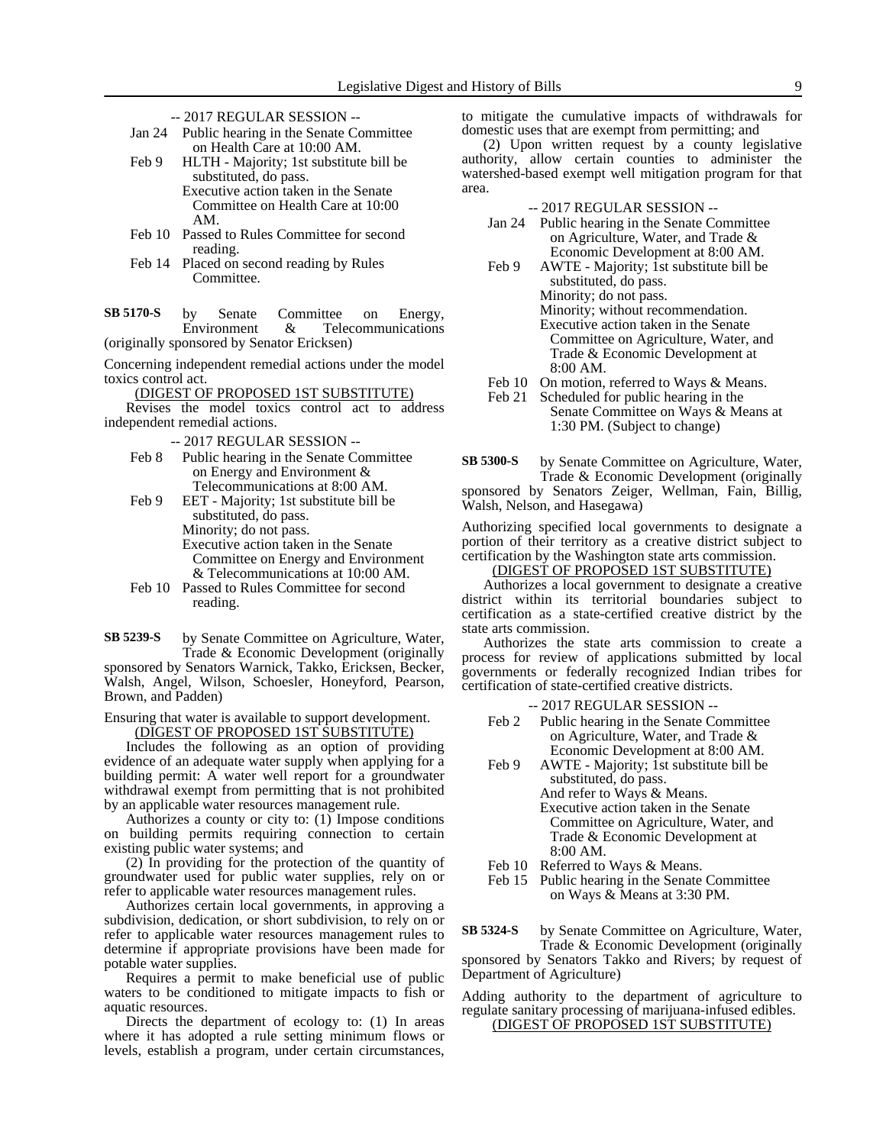- -- 2017 REGULAR SESSION --
- Jan 24 Public hearing in the Senate Committee on Health Care at 10:00 AM.
- Feb 9 HLTH Majority; 1st substitute bill be substituted, do pass. Executive action taken in the Senate

Committee on Health Care at 10:00 AM.

- Feb 10 Passed to Rules Committee for second reading.
- Feb 14 Placed on second reading by Rules Committee.
- by Senate Committee on Energy, Environment & Telecommunications (originally sponsored by Senator Ericksen) **SB 5170-S**
- Concerning independent remedial actions under the model toxics control act.

(DIGEST OF PROPOSED 1ST SUBSTITUTE)

Revises the model toxics control act to address independent remedial actions.

- -- 2017 REGULAR SESSION --
- Feb 8 Public hearing in the Senate Committee on Energy and Environment & Telecommunications at 8:00 AM.
- Feb 9 EET Majority; 1st substitute bill be substituted, do pass. Minority; do not pass. Executive action taken in the Senate Committee on Energy and Environment & Telecommunications at 10:00 AM.
- Feb 10 Passed to Rules Committee for second reading.
- by Senate Committee on Agriculture, Water, Trade & Economic Development (originally sponsored by Senators Warnick, Takko, Ericksen, Becker, Walsh, Angel, Wilson, Schoesler, Honeyford, Pearson, Brown, and Padden) **SB 5239-S**

Ensuring that water is available to support development. (DIGEST OF PROPOSED 1ST SUBSTITUTE)

Includes the following as an option of providing evidence of an adequate water supply when applying for a building permit: A water well report for a groundwater withdrawal exempt from permitting that is not prohibited by an applicable water resources management rule.

Authorizes a county or city to: (1) Impose conditions on building permits requiring connection to certain existing public water systems; and

(2) In providing for the protection of the quantity of groundwater used for public water supplies, rely on or refer to applicable water resources management rules.

Authorizes certain local governments, in approving a subdivision, dedication, or short subdivision, to rely on or refer to applicable water resources management rules to determine if appropriate provisions have been made for potable water supplies.

Requires a permit to make beneficial use of public waters to be conditioned to mitigate impacts to fish or aquatic resources.

Directs the department of ecology to: (1) In areas where it has adopted a rule setting minimum flows or levels, establish a program, under certain circumstances,

to mitigate the cumulative impacts of withdrawals for domestic uses that are exempt from permitting; and

(2) Upon written request by a county legislative authority, allow certain counties to administer the watershed-based exempt well mitigation program for that area.

-- 2017 REGULAR SESSION --

| Jan 24                  | Public hearing in the Senate Committee                                                                                                                                                                                                                                                                                                              |
|-------------------------|-----------------------------------------------------------------------------------------------------------------------------------------------------------------------------------------------------------------------------------------------------------------------------------------------------------------------------------------------------|
|                         | on Agriculture, Water, and Trade &                                                                                                                                                                                                                                                                                                                  |
|                         | Economic Development at 8:00 AM.                                                                                                                                                                                                                                                                                                                    |
| $\mathbf{r}$ 1 $\alpha$ | $\overline{1}$ , $\overline{1}$ , $\overline{1}$ , $\overline{1}$ , $\overline{1}$ , $\overline{1}$ , $\overline{1}$ , $\overline{1}$ , $\overline{1}$ , $\overline{1}$ , $\overline{1}$ , $\overline{1}$ , $\overline{1}$ , $\overline{1}$ , $\overline{1}$ , $\overline{1}$ , $\overline{1}$ , $\overline{1}$ , $\overline{1}$ , $\overline{1}$ , |

Feb 9 AWTE - Majority; 1st substitute bill be substituted, do pass. Minority; do not pass. Minority; without recommendation. Executive action taken in the Senate Committee on Agriculture, Water, and Trade & Economic Development at 8:00 AM.

- Feb 10 On motion, referred to Ways & Means.
- Feb 21 Scheduled for public hearing in the Senate Committee on Ways & Means at 1:30 PM. (Subject to change)

by Senate Committee on Agriculture, Water, Trade & Economic Development (originally sponsored by Senators Zeiger, Wellman, Fain, Billig, Walsh, Nelson, and Hasegawa) **SB 5300-S**

Authorizing specified local governments to designate a portion of their territory as a creative district subject to certification by the Washington state arts commission.

### (DIGEST OF PROPOSED 1ST SUBSTITUTE)

Authorizes a local government to designate a creative district within its territorial boundaries subject to certification as a state-certified creative district by the state arts commission.

Authorizes the state arts commission to create a process for review of applications submitted by local governments or federally recognized Indian tribes for certification of state-certified creative districts.

- -- 2017 REGULAR SESSION --
- Feb 2 Public hearing in the Senate Committee on Agriculture, Water, and Trade & Economic Development at 8:00 AM.
- Feb 9 AWTE Majority; 1st substitute bill be substituted, do pass. And refer to Ways & Means. Executive action taken in the Senate Committee on Agriculture, Water, and Trade & Economic Development at 8:00 AM.
- Feb 10 Referred to Ways & Means.
- Feb 15 Public hearing in the Senate Committee on Ways & Means at 3:30 PM.

by Senate Committee on Agriculture, Water, Trade & Economic Development (originally sponsored by Senators Takko and Rivers; by request of Department of Agriculture) **SB 5324-S**

Adding authority to the department of agriculture to regulate sanitary processing of marijuana-infused edibles. (DIGEST OF PROPOSED 1ST SUBSTITUTE)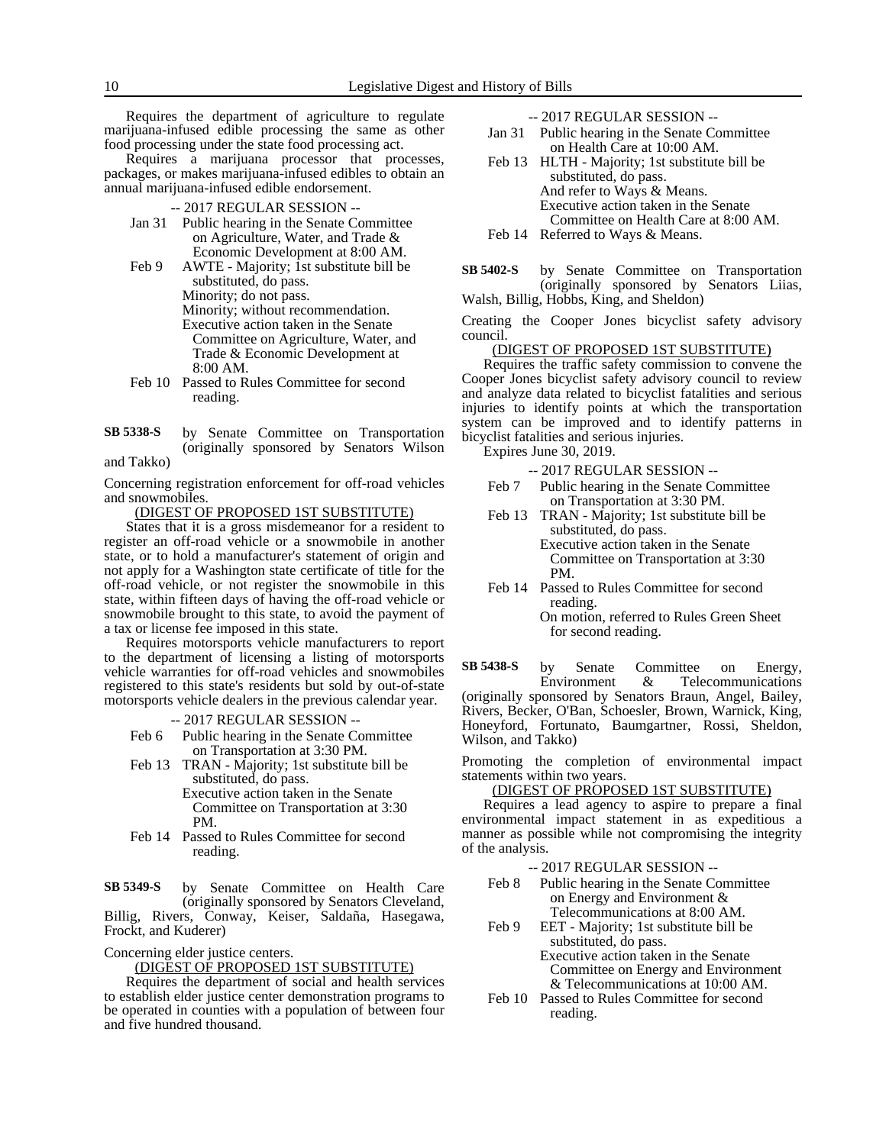Requires the department of agriculture to regulate marijuana-infused edible processing the same as other food processing under the state food processing act.

Requires a marijuana processor that processes, packages, or makes marijuana-infused edibles to obtain an annual marijuana-infused edible endorsement.

- -- 2017 REGULAR SESSION --
- Jan 31 Public hearing in the Senate Committee on Agriculture, Water, and Trade & Economic Development at 8:00 AM.
- Feb 9 AWTE Majority; 1st substitute bill be substituted, do pass. Minority; do not pass. Minority; without recommendation. Executive action taken in the Senate Committee on Agriculture, Water, and Trade & Economic Development at 8:00 AM.
- Feb 10 Passed to Rules Committee for second reading.
- by Senate Committee on Transportation (originally sponsored by Senators Wilson and Takko) **SB 5338-S**

Concerning registration enforcement for off-road vehicles and snowmobiles.

(DIGEST OF PROPOSED 1ST SUBSTITUTE)

States that it is a gross misdemeanor for a resident to register an off-road vehicle or a snowmobile in another state, or to hold a manufacturer's statement of origin and not apply for a Washington state certificate of title for the off-road vehicle, or not register the snowmobile in this state, within fifteen days of having the off-road vehicle or snowmobile brought to this state, to avoid the payment of a tax or license fee imposed in this state.

Requires motorsports vehicle manufacturers to report to the department of licensing a listing of motorsports vehicle warranties for off-road vehicles and snowmobiles registered to this state's residents but sold by out-of-state motorsports vehicle dealers in the previous calendar year.

-- 2017 REGULAR SESSION --

- Feb 6 Public hearing in the Senate Committee on Transportation at 3:30 PM.
- Feb 13 TRAN Majority; 1st substitute bill be substituted, do pass.

Executive action taken in the Senate Committee on Transportation at 3:30 PM.

Feb 14 Passed to Rules Committee for second reading.

by Senate Committee on Health Care (originally sponsored by Senators Cleveland, Billig, Rivers, Conway, Keiser, Saldaña, Hasegawa, Frockt, and Kuderer) **SB 5349-S**

Concerning elder justice centers.

#### (DIGEST OF PROPOSED 1ST SUBSTITUTE)

Requires the department of social and health services to establish elder justice center demonstration programs to be operated in counties with a population of between four and five hundred thousand.

-- 2017 REGULAR SESSION --

- Jan 31 Public hearing in the Senate Committee on Health Care at 10:00 AM.
- Feb 13 HLTH Majority; 1st substitute bill be substituted, do pass. And refer to Ways & Means. Executive action taken in the Senate Committee on Health Care at 8:00 AM. Feb 14 Referred to Ways & Means.
- by Senate Committee on Transportation (originally sponsored by Senators Liias, Walsh, Billig, Hobbs, King, and Sheldon) **SB 5402-S**

Creating the Cooper Jones bicyclist safety advisory council.

### (DIGEST OF PROPOSED 1ST SUBSTITUTE)

Requires the traffic safety commission to convene the Cooper Jones bicyclist safety advisory council to review and analyze data related to bicyclist fatalities and serious injuries to identify points at which the transportation system can be improved and to identify patterns in bicyclist fatalities and serious injuries.

Expires June 30, 2019.

- -- 2017 REGULAR SESSION -- Feb 7 Public hearing in the Senate Committee
- on Transportation at 3:30 PM. Feb 13 TRAN - Majority; 1st substitute bill be

substituted, do pass. Executive action taken in the Senate Committee on Transportation at 3:30 PM.

Feb 14 Passed to Rules Committee for second reading. On motion, referred to Rules Green Sheet for second reading.

by Senate Committee on Energy, Environment & Telecommunications (originally sponsored by Senators Braun, Angel, Bailey, Rivers, Becker, O'Ban, Schoesler, Brown, Warnick, King, Honeyford, Fortunato, Baumgartner, Rossi, Sheldon, Wilson, and Takko) **SB 5438-S**

Promoting the completion of environmental impact statements within two years.

#### (DIGEST OF PROPOSED 1ST SUBSTITUTE)

Requires a lead agency to aspire to prepare a final environmental impact statement in as expeditious a manner as possible while not compromising the integrity of the analysis.

-- 2017 REGULAR SESSION --

- Feb 8 Public hearing in the Senate Committee on Energy and Environment & Telecommunications at 8:00 AM.
- Feb 9 EET Majority; 1st substitute bill be substituted, do pass.

Executive action taken in the Senate Committee on Energy and Environment & Telecommunications at 10:00 AM.

Feb 10 Passed to Rules Committee for second reading.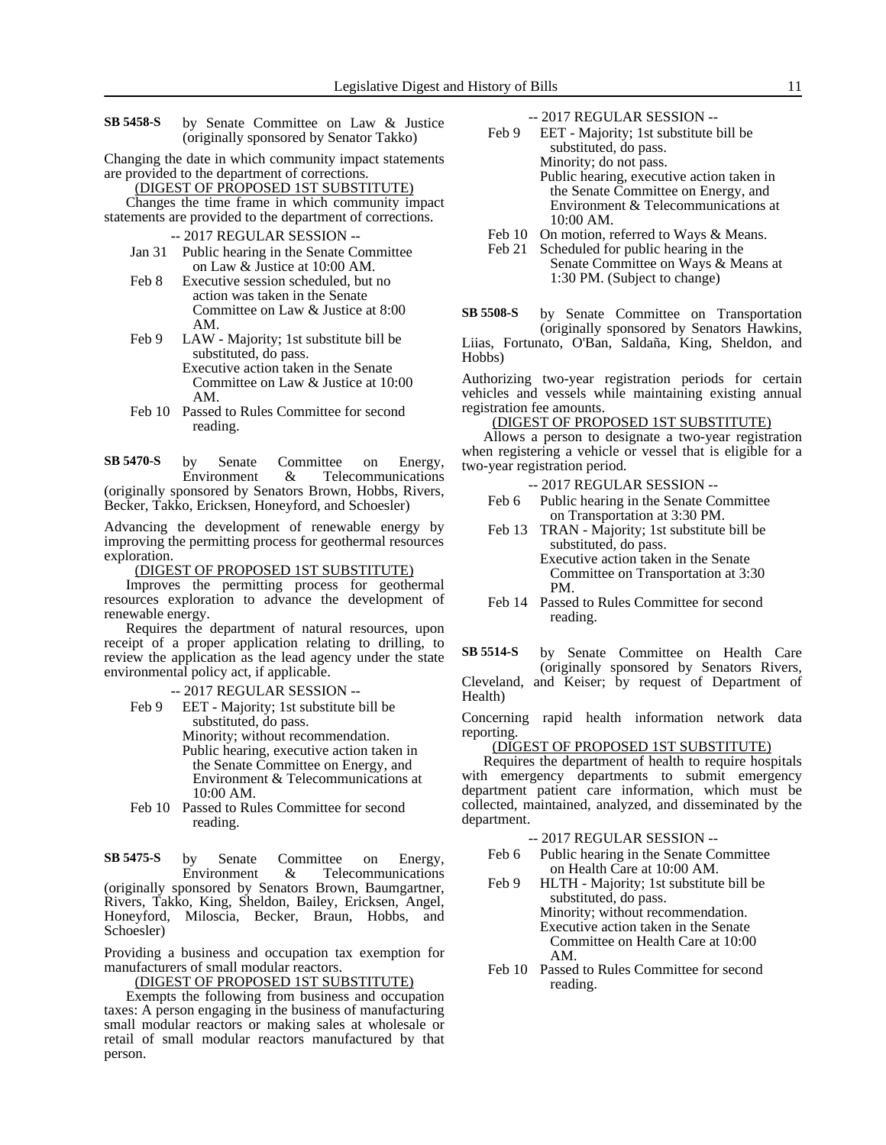- by Senate Committee on Law & Justice (originally sponsored by Senator Takko) **SB 5458-S**
- Changing the date in which community impact statements are provided to the department of corrections.
	- (DIGEST OF PROPOSED 1ST SUBSTITUTE)

Changes the time frame in which community impact statements are provided to the department of corrections.

-- 2017 REGULAR SESSION --

- Jan 31 Public hearing in the Senate Committee on Law & Justice at 10:00 AM.
- Feb 8 Executive session scheduled, but no action was taken in the Senate Committee on Law & Justice at 8:00 AM.
- Feb 9 LAW Majority; 1st substitute bill be substituted, do pass. Executive action taken in the Senate Committee on Law & Justice at 10:00 AM.
- Feb 10 Passed to Rules Committee for second reading.

by Senate Committee on Energy,<br>Environment & Telecommunications  $&$  Telecommunications (originally sponsored by Senators Brown, Hobbs, Rivers, Becker, Takko, Ericksen, Honeyford, and Schoesler) **SB 5470-S**

Advancing the development of renewable energy by improving the permitting process for geothermal resources exploration.

#### (DIGEST OF PROPOSED 1ST SUBSTITUTE)

Improves the permitting process for geothermal resources exploration to advance the development of renewable energy.

Requires the department of natural resources, upon receipt of a proper application relating to drilling, to review the application as the lead agency under the state environmental policy act, if applicable.

#### -- 2017 REGULAR SESSION --

- Feb 9 EET Majority; 1st substitute bill be substituted, do pass. Minority; without recommendation. Public hearing, executive action taken in the Senate Committee on Energy, and Environment & Telecommunications at 10:00 AM.
- Feb 10 Passed to Rules Committee for second reading.

by Senate Committee on Energy, Environment & Telecommunications (originally sponsored by Senators Brown, Baumgartner, Rivers, Takko, King, Sheldon, Bailey, Ericksen, Angel, Honeyford, Miloscia, Becker, Braun, Hobbs, and Schoesler) **SB 5475-S**

Providing a business and occupation tax exemption for manufacturers of small modular reactors.

(DIGEST OF PROPOSED 1ST SUBSTITUTE)

Exempts the following from business and occupation taxes: A person engaging in the business of manufacturing small modular reactors or making sales at wholesale or retail of small modular reactors manufactured by that person.

- -- 2017 REGULAR SESSION --
- Feb 9 EET Majority; 1st substitute bill be substituted, do pass. Minority; do not pass. Public hearing, executive action taken in the Senate Committee on Energy, and Environment & Telecommunications at 10:00 AM.
- Feb 10 On motion, referred to Ways & Means.
- Feb 21 Scheduled for public hearing in the Senate Committee on Ways & Means at 1:30 PM. (Subject to change)
- by Senate Committee on Transportation (originally sponsored by Senators Hawkins, Liias, Fortunato, O'Ban, Saldaña, King, Sheldon, and **SB 5508-S**

Hobbs)

Authorizing two-year registration periods for certain vehicles and vessels while maintaining existing annual registration fee amounts.

#### (DIGEST OF PROPOSED 1ST SUBSTITUTE)

Allows a person to designate a two-year registration when registering a vehicle or vessel that is eligible for a two-year registration period.

-- 2017 REGULAR SESSION --

- Feb 6 Public hearing in the Senate Committee on Transportation at 3:30 PM.
- Feb 13 TRAN Majority; 1st substitute bill be substituted, do pass. Executive action taken in the Senate Committee on Transportation at 3:30
- PM. Feb 14 Passed to Rules Committee for second reading.

by Senate Committee on Health Care **SB 5514-S**

(originally sponsored by Senators Rivers, Cleveland, and Keiser; by request of Department of Health)

Concerning rapid health information network data reporting.

### (DIGEST OF PROPOSED 1ST SUBSTITUTE)

Requires the department of health to require hospitals with emergency departments to submit emergency department patient care information, which must be collected, maintained, analyzed, and disseminated by the department.

-- 2017 REGULAR SESSION --

- Feb 6 Public hearing in the Senate Committee on Health Care at 10:00 AM.
- Feb 9 HLTH Majority; 1st substitute bill be substituted, do pass. Minority; without recommendation. Executive action taken in the Senate Committee on Health Care at 10:00 AM.
- Feb 10 Passed to Rules Committee for second reading.